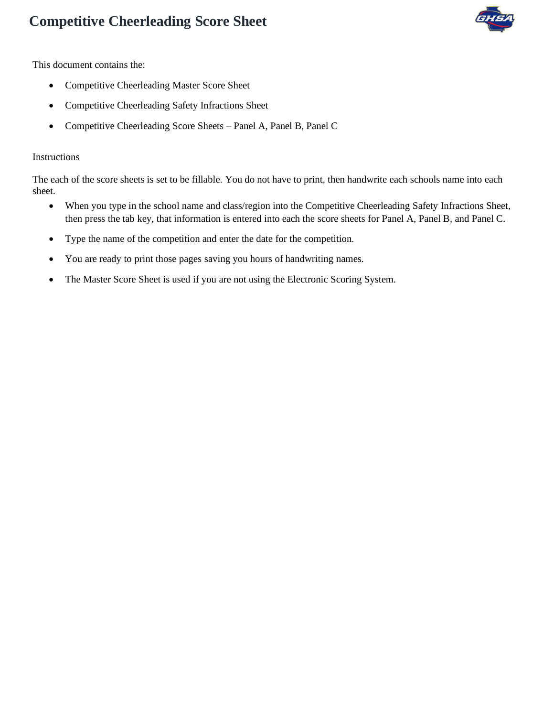

This document contains the:

- Competitive Cheerleading Master Score Sheet
- Competitive Cheerleading Safety Infractions Sheet
- Competitive Cheerleading Score Sheets Panel A, Panel B, Panel C

#### Instructions

The each of the score sheets is set to be fillable. You do not have to print, then handwrite each schools name into each sheet.

- When you type in the school name and class/region into the Competitive Cheerleading Safety Infractions Sheet, then press the tab key, that information is entered into each the score sheets for Panel A, Panel B, and Panel C.
- Type the name of the competition and enter the date for the competition.
- You are ready to print those pages saving you hours of handwriting names.
- The Master Score Sheet is used if you are not using the Electronic Scoring System.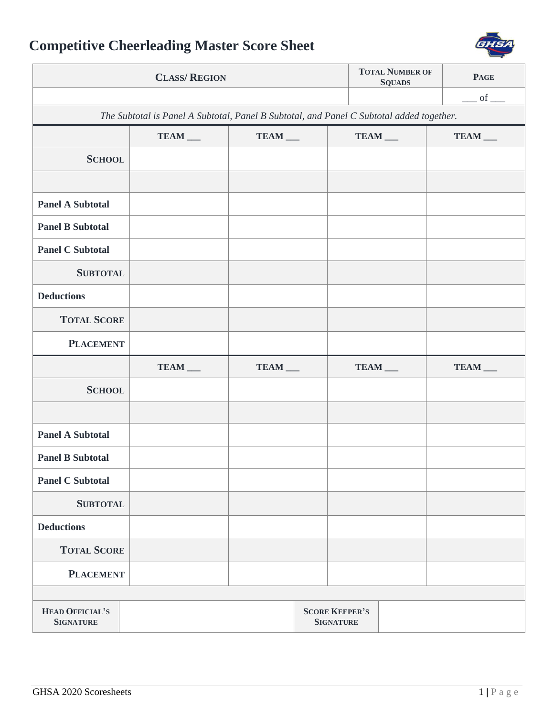

| <b>CLASS/ REGION</b>                                                                     |         |                      |                                           |         | <b>TOTAL NUMBER OF</b><br><b>SQUADS</b> | <b>PAGE</b> |  |  |  |
|------------------------------------------------------------------------------------------|---------|----------------------|-------------------------------------------|---------|-----------------------------------------|-------------|--|--|--|
|                                                                                          |         |                      |                                           |         |                                         | $-$ of $-$  |  |  |  |
| The Subtotal is Panel A Subtotal, Panel B Subtotal, and Panel C Subtotal added together. |         |                      |                                           |         |                                         |             |  |  |  |
|                                                                                          | TEAM __ | TEAM __              |                                           | TEAM __ |                                         | TEAM __     |  |  |  |
| <b>SCHOOL</b>                                                                            |         |                      |                                           |         |                                         |             |  |  |  |
|                                                                                          |         |                      |                                           |         |                                         |             |  |  |  |
| <b>Panel A Subtotal</b>                                                                  |         |                      |                                           |         |                                         |             |  |  |  |
| <b>Panel B Subtotal</b>                                                                  |         |                      |                                           |         |                                         |             |  |  |  |
| <b>Panel C Subtotal</b>                                                                  |         |                      |                                           |         |                                         |             |  |  |  |
| <b>SUBTOTAL</b>                                                                          |         |                      |                                           |         |                                         |             |  |  |  |
| <b>Deductions</b>                                                                        |         |                      |                                           |         |                                         |             |  |  |  |
| <b>TOTAL SCORE</b>                                                                       |         |                      |                                           |         |                                         |             |  |  |  |
| <b>PLACEMENT</b>                                                                         |         |                      |                                           |         |                                         |             |  |  |  |
|                                                                                          | TEAM __ | $TEAM$ <sub>——</sub> |                                           | TEAM __ |                                         | TEAM __     |  |  |  |
| <b>SCHOOL</b>                                                                            |         |                      |                                           |         |                                         |             |  |  |  |
|                                                                                          |         |                      |                                           |         |                                         |             |  |  |  |
| <b>Panel A Subtotal</b>                                                                  |         |                      |                                           |         |                                         |             |  |  |  |
| <b>Panel B Subtotal</b>                                                                  |         |                      |                                           |         |                                         |             |  |  |  |
| <b>Panel C Subtotal</b>                                                                  |         |                      |                                           |         |                                         |             |  |  |  |
| <b>SUBTOTAL</b>                                                                          |         |                      |                                           |         |                                         |             |  |  |  |
| <b>Deductions</b>                                                                        |         |                      |                                           |         |                                         |             |  |  |  |
| <b>TOTAL SCORE</b>                                                                       |         |                      |                                           |         |                                         |             |  |  |  |
| <b>PLACEMENT</b>                                                                         |         |                      |                                           |         |                                         |             |  |  |  |
|                                                                                          |         |                      |                                           |         |                                         |             |  |  |  |
| <b>HEAD OFFICIAL'S</b><br><b>SIGNATURE</b>                                               |         |                      | <b>SCORE KEEPER'S</b><br><b>SIGNATURE</b> |         |                                         |             |  |  |  |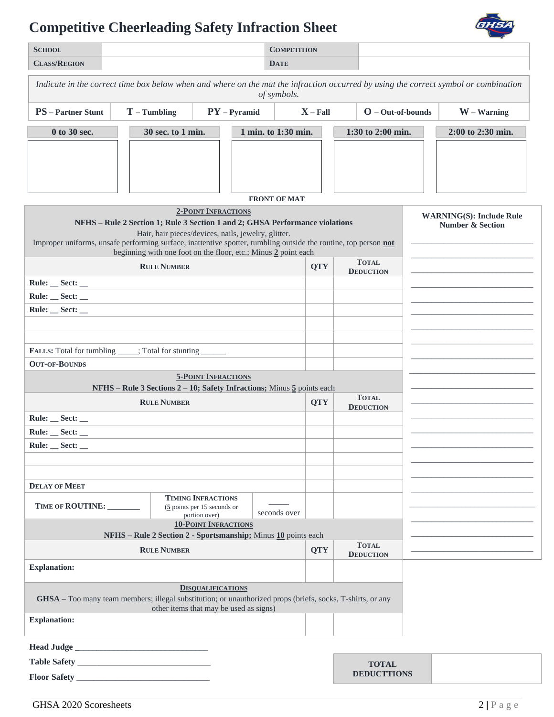## **Competitive Cheerleading Safety Infraction Sheet**



| <b>SCHOOL</b>                                                                                                                                      |                                                                                                                                                |                                                                             | <b>COMPETITION</b>  |            |                   |                                  |                   |                                                                |  |
|----------------------------------------------------------------------------------------------------------------------------------------------------|------------------------------------------------------------------------------------------------------------------------------------------------|-----------------------------------------------------------------------------|---------------------|------------|-------------------|----------------------------------|-------------------|----------------------------------------------------------------|--|
| <b>CLASS/REGION</b>                                                                                                                                |                                                                                                                                                |                                                                             | <b>DATE</b>         |            |                   |                                  |                   |                                                                |  |
| Indicate in the correct time box below when and where on the mat the infraction occurred by using the correct symbol or combination<br>of symbols. |                                                                                                                                                |                                                                             |                     |            |                   |                                  |                   |                                                                |  |
| <b>PS</b> – Partner Stunt                                                                                                                          | $T$ – Tumbling                                                                                                                                 | $PY$ – Pyramid                                                              |                     | $X$ – Fall |                   | $O - Out-of-bounds$              |                   | $W - W_{\text{arrning}}$                                       |  |
| 0 to 30 sec.                                                                                                                                       | 30 sec. to 1 min.                                                                                                                              | 1 min. to 1:30 min.                                                         |                     |            | 1:30 to 2:00 min. |                                  | 2:00 to 2:30 min. |                                                                |  |
|                                                                                                                                                    |                                                                                                                                                |                                                                             | <b>FRONT OF MAT</b> |            |                   |                                  |                   |                                                                |  |
|                                                                                                                                                    |                                                                                                                                                | <b>2-POINT INFRACTIONS</b>                                                  |                     |            |                   |                                  |                   |                                                                |  |
| Improper uniforms, unsafe performing surface, inattentive spotter, tumbling outside the routine, top person not                                    | NFHS - Rule 2 Section 1; Rule 3 Section 1 and 2; GHSA Performance violations<br>beginning with one foot on the floor, etc.; Minus 2 point each | Hair, hair pieces/devices, nails, jewelry, glitter.                         |                     |            |                   |                                  |                   | <b>WARNING(S): Include Rule</b><br><b>Number &amp; Section</b> |  |
|                                                                                                                                                    | <b>RULE NUMBER</b>                                                                                                                             |                                                                             |                     | <b>QTY</b> |                   | <b>TOTAL</b><br><b>DEDUCTION</b> |                   |                                                                |  |
| $Rule: _$ Sect: $_$                                                                                                                                |                                                                                                                                                |                                                                             |                     |            |                   |                                  |                   |                                                                |  |
| Rule: __ Sect: __                                                                                                                                  |                                                                                                                                                |                                                                             |                     |            |                   |                                  |                   |                                                                |  |
| Rule: __ Sect: __                                                                                                                                  |                                                                                                                                                |                                                                             |                     |            |                   |                                  |                   |                                                                |  |
|                                                                                                                                                    |                                                                                                                                                |                                                                             |                     |            |                   |                                  |                   |                                                                |  |
| <b>FALLS:</b> Total for tumbling _____; Total for stunting _____                                                                                   |                                                                                                                                                |                                                                             |                     |            |                   |                                  |                   |                                                                |  |
| <b>OUT-OF-BOUNDS</b>                                                                                                                               |                                                                                                                                                |                                                                             |                     |            |                   |                                  |                   |                                                                |  |
|                                                                                                                                                    |                                                                                                                                                | <b>5-POINT INFRACTIONS</b>                                                  |                     |            |                   |                                  |                   |                                                                |  |
|                                                                                                                                                    | NFHS – Rule 3 Sections $2 - 10$ ; Safety Infractions; Minus $\frac{5}{2}$ points each                                                          |                                                                             |                     |            |                   | <b>TOTAL</b>                     |                   |                                                                |  |
|                                                                                                                                                    | <b>RULE NUMBER</b>                                                                                                                             |                                                                             |                     | <b>QTY</b> |                   | <b>DEDUCTION</b>                 |                   |                                                                |  |
| Rule: __ Sect: __                                                                                                                                  |                                                                                                                                                |                                                                             |                     |            |                   |                                  |                   |                                                                |  |
| Rule: __ Sect: __<br><b>Rule:</b><br>Sect:                                                                                                         |                                                                                                                                                |                                                                             |                     |            |                   |                                  |                   |                                                                |  |
|                                                                                                                                                    |                                                                                                                                                |                                                                             |                     |            |                   |                                  |                   |                                                                |  |
|                                                                                                                                                    |                                                                                                                                                |                                                                             |                     |            |                   |                                  |                   |                                                                |  |
| <b>DELAY OF MEET</b>                                                                                                                               |                                                                                                                                                |                                                                             |                     |            |                   |                                  |                   |                                                                |  |
| TIME OF ROUTINE:                                                                                                                                   |                                                                                                                                                | <b>TIMING INFRACTIONS</b><br>$(5$ points per 15 seconds or<br>portion over) | seconds over        |            |                   |                                  |                   |                                                                |  |
|                                                                                                                                                    | NFHS - Rule 2 Section 2 - Sportsmanship; Minus 10 points each                                                                                  | <b>10-POINT INFRACTIONS</b>                                                 |                     |            |                   |                                  |                   |                                                                |  |
|                                                                                                                                                    | <b>RULE NUMBER</b>                                                                                                                             |                                                                             |                     | <b>QTY</b> |                   | <b>TOTAL</b>                     |                   |                                                                |  |
| <b>Explanation:</b>                                                                                                                                |                                                                                                                                                |                                                                             |                     |            |                   | <b>DEDUCTION</b>                 |                   |                                                                |  |
|                                                                                                                                                    |                                                                                                                                                |                                                                             |                     |            |                   |                                  |                   |                                                                |  |
|                                                                                                                                                    | GHSA - Too many team members; illegal substitution; or unauthorized props (briefs, socks, T-shirts, or any                                     | <b>DISQUALIFICATIONS</b><br>other items that may be used as signs)          |                     |            |                   |                                  |                   |                                                                |  |
| <b>Explanation:</b>                                                                                                                                |                                                                                                                                                |                                                                             |                     |            |                   |                                  |                   |                                                                |  |
|                                                                                                                                                    |                                                                                                                                                |                                                                             |                     |            |                   |                                  |                   |                                                                |  |
|                                                                                                                                                    |                                                                                                                                                |                                                                             |                     |            |                   | <b>TOTAL</b>                     |                   |                                                                |  |
|                                                                                                                                                    |                                                                                                                                                |                                                                             |                     |            |                   | <b>DEDUCTTIONS</b>               |                   |                                                                |  |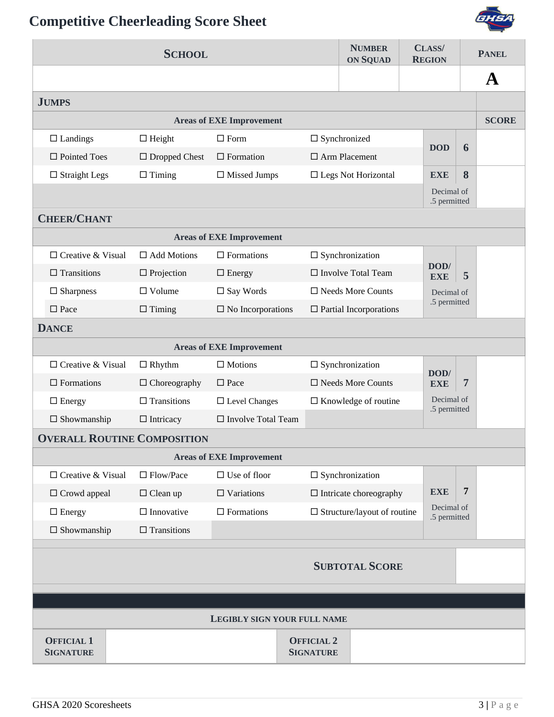

| <b>SCHOOL</b>                         |                      |                                 |                                       |                                        | <b>NUMBER</b><br>CLASS/<br><b>ON SQUAD</b><br><b>REGION</b> |                            | <b>PANEL</b>   |              |  |
|---------------------------------------|----------------------|---------------------------------|---------------------------------------|----------------------------------------|-------------------------------------------------------------|----------------------------|----------------|--------------|--|
|                                       |                      |                                 |                                       |                                        |                                                             |                            |                | $\mathbf A$  |  |
| <b>JUMPS</b>                          |                      |                                 |                                       |                                        |                                                             |                            |                |              |  |
|                                       |                      | <b>Areas of EXE Improvement</b> |                                       |                                        |                                                             |                            |                | <b>SCORE</b> |  |
| $\Box$ Landings                       | $\Box$ Height        | $\square$ Form                  |                                       | $\square$ Synchronized                 |                                                             | <b>DOD</b>                 | 6              |              |  |
| $\Box$ Pointed Toes                   | $\Box$ Dropped Chest | $\Box$ Formation                |                                       | $\Box$ Arm Placement                   |                                                             |                            |                |              |  |
| $\Box$ Straight Legs                  | $\Box$ Timing        | $\Box$ Missed Jumps             |                                       | $\Box$<br>Legs Not Horizontal          |                                                             | <b>EXE</b>                 | 8              |              |  |
|                                       |                      |                                 |                                       |                                        |                                                             | Decimal of<br>.5 permitted |                |              |  |
| <b>CHEER/CHANT</b>                    |                      |                                 |                                       |                                        |                                                             |                            |                |              |  |
|                                       |                      | <b>Areas of EXE Improvement</b> |                                       |                                        |                                                             |                            |                |              |  |
| $\Box$ Creative & Visual              | $\Box$ Add Motions   | $\Box$ Formations               |                                       | $\square$ Synchronization              |                                                             |                            |                |              |  |
| $\Box$ Transitions                    | $\Box$ Projection    | $\Box$ Energy                   |                                       | $\Box$ Involve Total Team              |                                                             | DOD/<br><b>EXE</b>         | 5              |              |  |
| $\Box$ Sharpness                      | $\Box$ Volume        | $\square$ Say Words             |                                       | □ Needs More Counts                    |                                                             | Decimal of                 |                |              |  |
| $\square$ Pace                        | $\Box$ Timing        | $\square$ No Incorporations     |                                       | $\hfill\Box$<br>Partial Incorporations |                                                             | .5 permitted               |                |              |  |
| <b>DANCE</b>                          |                      |                                 |                                       |                                        |                                                             |                            |                |              |  |
|                                       |                      | <b>Areas of EXE Improvement</b> |                                       |                                        |                                                             |                            |                |              |  |
| $\Box$ Creative & Visual              | $\Box$ Rhythm        | $\Box$ Motions                  |                                       | $\Box$ Synchronization                 |                                                             | DOD/                       |                |              |  |
| $\Box$ Formations                     | $\Box$ Choreography  | $\square$ Pace                  |                                       | $\square$ Needs More Counts            |                                                             | <b>EXE</b>                 | $\overline{7}$ |              |  |
| $\Box$ Energy                         | $\Box$ Transitions   | $\Box$ Level Changes            |                                       | $\Box$ Knowledge of routine            |                                                             | Decimal of<br>.5 permitted |                |              |  |
| $\Box$ Showmanship                    | $\Box$ Intricacy     | $\Box$ Involve Total Team       |                                       |                                        |                                                             |                            |                |              |  |
| <b>OVERALL ROUTINE COMPOSITION</b>    |                      |                                 |                                       |                                        |                                                             |                            |                |              |  |
|                                       |                      | <b>Areas of EXE Improvement</b> |                                       |                                        |                                                             |                            |                |              |  |
| $\Box$ Creative & Visual              | $\Box$ Flow/Pace     | $\Box$ Use of floor             |                                       | $\square$ Synchronization              |                                                             |                            |                |              |  |
| $\Box$ Crowd appeal                   | $\Box$ Clean up      | $\Box$ Variations               |                                       | $\Box$ Intricate choreography          |                                                             | <b>EXE</b>                 | 7              |              |  |
| $\Box$ Energy                         | $\Box$ Innovative    | $\Box$ Formations               |                                       | $\Box$ Structure/layout of routine     |                                                             | Decimal of<br>.5 permitted |                |              |  |
| $\Box$ Showmanship                    | $\Box$ Transitions   |                                 |                                       |                                        |                                                             |                            |                |              |  |
|                                       |                      |                                 |                                       |                                        |                                                             |                            |                |              |  |
|                                       |                      |                                 |                                       | <b>SUBTOTAL SCORE</b>                  |                                                             |                            |                |              |  |
|                                       |                      |                                 |                                       |                                        |                                                             |                            |                |              |  |
| LEGIBLY SIGN YOUR FULL NAME           |                      |                                 |                                       |                                        |                                                             |                            |                |              |  |
|                                       |                      |                                 |                                       |                                        |                                                             |                            |                |              |  |
| <b>OFFICIAL 1</b><br><b>SIGNATURE</b> |                      |                                 | <b>OFFICIAL 2</b><br><b>SIGNATURE</b> |                                        |                                                             |                            |                |              |  |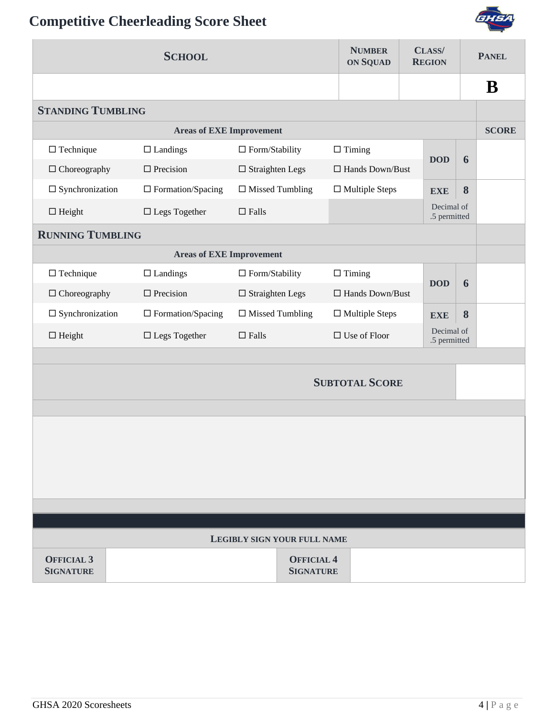

|                                 | <b>SCHOOL</b>                   |                           | <b>NUMBER</b><br><b>ON SQUAD</b> |  | CLASS/<br><b>REGION</b>    |   | <b>PANEL</b> |            |  |   |  |
|---------------------------------|---------------------------------|---------------------------|----------------------------------|--|----------------------------|---|--------------|------------|--|---|--|
|                                 |                                 |                           |                                  |  |                            |   | B            |            |  |   |  |
| <b>STANDING TUMBLING</b>        |                                 |                           |                                  |  |                            |   |              |            |  |   |  |
| <b>Areas of EXE Improvement</b> |                                 |                           |                                  |  |                            |   |              |            |  |   |  |
| $\Box$ Technique                | $\Box$ Landings                 | $\Box$ Form/Stability     | $\Box$ Timing                    |  |                            |   |              | <b>DOD</b> |  | 6 |  |
| $\Box$ Choreography             | $\Box$ Precision                | $\square$ Straighten Legs | $\Box$ Hands Down/Bust           |  |                            |   |              |            |  |   |  |
| $\square$ Synchronization       | $\Box$ Formation/Spacing        | $\Box$ Missed Tumbling    | $\Box$ Multiple Steps            |  | <b>EXE</b>                 | 8 |              |            |  |   |  |
| $\Box$ Height                   | $\square$ Legs Together         | $\square$ Falls           |                                  |  | Decimal of<br>.5 permitted |   |              |            |  |   |  |
| <b>RUNNING TUMBLING</b>         |                                 |                           |                                  |  |                            |   |              |            |  |   |  |
|                                 | <b>Areas of EXE Improvement</b> |                           |                                  |  |                            |   |              |            |  |   |  |
| $\Box$ Technique                | $\Box$ Landings                 | $\Box$ Form/Stability     | $\Box$ Timing                    |  |                            |   |              |            |  |   |  |
| $\Box$ Choreography             | $\Box$ Precision                | $\square$ Straighten Legs | $\Box$ Hands Down/Bust           |  | <b>DOD</b>                 | 6 |              |            |  |   |  |
| $\square$ Synchronization       | $\Box$ Formation/Spacing        | $\Box$ Missed Tumbling    | $\Box$ Multiple Steps            |  | <b>EXE</b>                 | 8 |              |            |  |   |  |
| $\Box$ Height                   | $\square$ Legs Together         | $\Box$ Falls              | $\Box$ Use of Floor              |  | Decimal of<br>.5 permitted |   |              |            |  |   |  |
|                                 |                                 |                           |                                  |  |                            |   |              |            |  |   |  |
|                                 |                                 |                           | <b>SUBTOTAL SCORE</b>            |  |                            |   |              |            |  |   |  |
|                                 |                                 |                           |                                  |  |                            |   |              |            |  |   |  |
|                                 |                                 |                           |                                  |  |                            |   |              |            |  |   |  |
|                                 |                                 |                           |                                  |  |                            |   |              |            |  |   |  |
|                                 |                                 |                           |                                  |  |                            |   |              |            |  |   |  |
|                                 |                                 |                           |                                  |  |                            |   |              |            |  |   |  |
|                                 |                                 |                           |                                  |  |                            |   |              |            |  |   |  |
| LEGIBLY SIGN YOUR FULL NAME     |                                 |                           |                                  |  |                            |   |              |            |  |   |  |
| <b>OFFICIAL 3</b>               |                                 | <b>OFFICIAL 4</b>         |                                  |  |                            |   |              |            |  |   |  |
| <b>SIGNATURE</b>                |                                 | <b>SIGNATURE</b>          |                                  |  |                            |   |              |            |  |   |  |